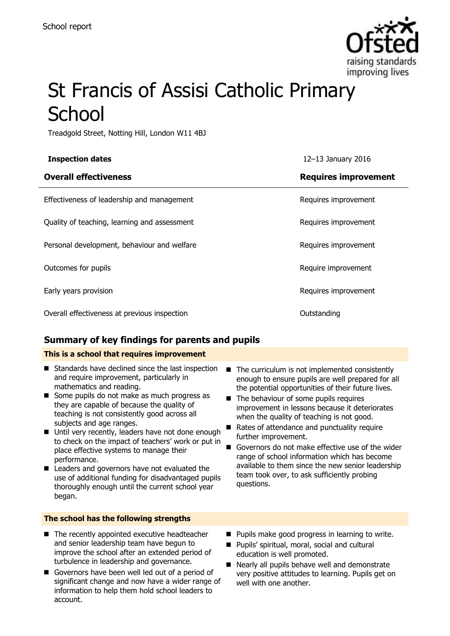

# St Francis of Assisi Catholic Primary **School**

Treadgold Street, Notting Hill, London W11 4BJ

| <b>Inspection dates</b>                      | 12-13 January 2016          |
|----------------------------------------------|-----------------------------|
| <b>Overall effectiveness</b>                 | <b>Requires improvement</b> |
| Effectiveness of leadership and management   | Requires improvement        |
| Quality of teaching, learning and assessment | Requires improvement        |
| Personal development, behaviour and welfare  | Requires improvement        |
| Outcomes for pupils                          | Require improvement         |
| Early years provision                        | Requires improvement        |
| Overall effectiveness at previous inspection | Outstanding                 |

### **Summary of key findings for parents and pupils**

### **This is a school that requires improvement**

- Standards have declined since the last inspection and require improvement, particularly in mathematics and reading.
- Some pupils do not make as much progress as they are capable of because the quality of teaching is not consistently good across all subjects and age ranges.
- Until very recently, leaders have not done enough to check on the impact of teachers' work or put in place effective systems to manage their performance.
- Leaders and governors have not evaluated the use of additional funding for disadvantaged pupils thoroughly enough until the current school year began.

### **The school has the following strengths**

- The recently appointed executive headteacher and senior leadership team have begun to improve the school after an extended period of turbulence in leadership and governance.
- Governors have been well led out of a period of significant change and now have a wider range of information to help them hold school leaders to account.
- $\blacksquare$  The curriculum is not implemented consistently enough to ensure pupils are well prepared for all the potential opportunities of their future lives.
- The behaviour of some pupils requires improvement in lessons because it deteriorates when the quality of teaching is not good.
- Rates of attendance and punctuality require further improvement.
- Governors do not make effective use of the wider range of school information which has become available to them since the new senior leadership team took over, to ask sufficiently probing questions.
- $\blacksquare$  Pupils make good progress in learning to write.
- Pupils' spiritual, moral, social and cultural education is well promoted.
- Nearly all pupils behave well and demonstrate very positive attitudes to learning. Pupils get on well with one another.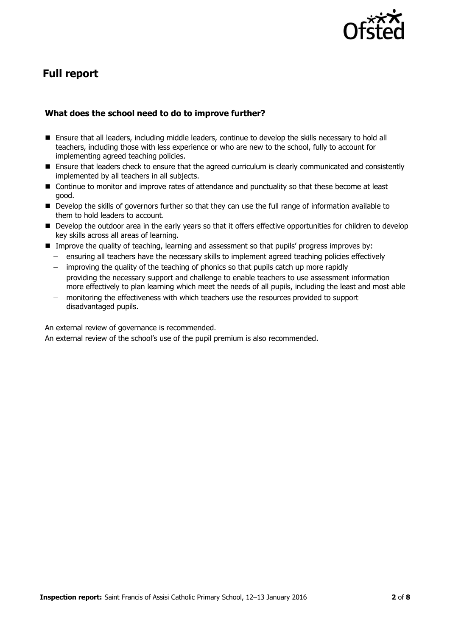

# **Full report**

### **What does the school need to do to improve further?**

- Ensure that all leaders, including middle leaders, continue to develop the skills necessary to hold all teachers, including those with less experience or who are new to the school, fully to account for implementing agreed teaching policies.
- **Ensure that leaders check to ensure that the agreed curriculum is clearly communicated and consistently** implemented by all teachers in all subjects.
- Continue to monitor and improve rates of attendance and punctuality so that these become at least good.
- Develop the skills of governors further so that they can use the full range of information available to them to hold leaders to account.
- Develop the outdoor area in the early years so that it offers effective opportunities for children to develop key skills across all areas of learning.
- **IM** Improve the quality of teaching, learning and assessment so that pupils' progress improves by:
	- ensuring all teachers have the necessary skills to implement agreed teaching policies effectively
	- $-$  improving the quality of the teaching of phonics so that pupils catch up more rapidly
	- providing the necessary support and challenge to enable teachers to use assessment information more effectively to plan learning which meet the needs of all pupils, including the least and most able
	- monitoring the effectiveness with which teachers use the resources provided to support disadvantaged pupils.

An external review of governance is recommended.

An external review of the school's use of the pupil premium is also recommended.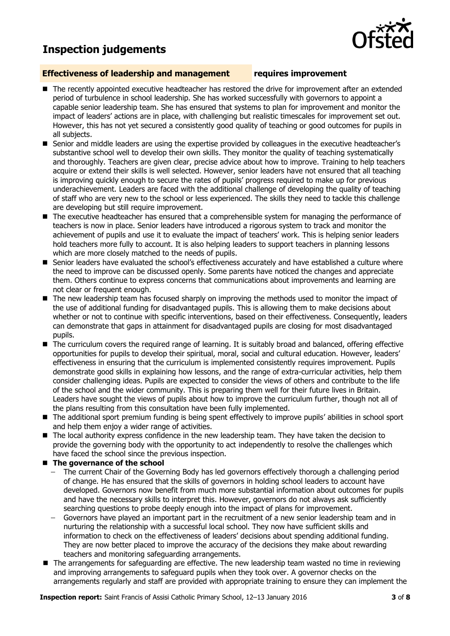## **Inspection judgements**

### **Effectiveness of leadership and management requires improvement**

- The recently appointed executive headteacher has restored the drive for improvement after an extended period of turbulence in school leadership. She has worked successfully with governors to appoint a capable senior leadership team. She has ensured that systems to plan for improvement and monitor the impact of leaders' actions are in place, with challenging but realistic timescales for improvement set out. However, this has not yet secured a consistently good quality of teaching or good outcomes for pupils in all subjects.
- Senior and middle leaders are using the expertise provided by colleagues in the executive headteacher's substantive school well to develop their own skills. They monitor the quality of teaching systematically and thoroughly. Teachers are given clear, precise advice about how to improve. Training to help teachers acquire or extend their skills is well selected. However, senior leaders have not ensured that all teaching is improving quickly enough to secure the rates of pupils' progress required to make up for previous underachievement. Leaders are faced with the additional challenge of developing the quality of teaching of staff who are very new to the school or less experienced. The skills they need to tackle this challenge are developing but still require improvement.
- The executive headteacher has ensured that a comprehensible system for managing the performance of teachers is now in place. Senior leaders have introduced a rigorous system to track and monitor the achievement of pupils and use it to evaluate the impact of teachers' work. This is helping senior leaders hold teachers more fully to account. It is also helping leaders to support teachers in planning lessons which are more closely matched to the needs of pupils.
- **Senior leaders have evaluated the school's effectiveness accurately and have established a culture where** the need to improve can be discussed openly. Some parents have noticed the changes and appreciate them. Others continue to express concerns that communications about improvements and learning are not clear or frequent enough.
- The new leadership team has focused sharply on improving the methods used to monitor the impact of the use of additional funding for disadvantaged pupils. This is allowing them to make decisions about whether or not to continue with specific interventions, based on their effectiveness. Consequently, leaders can demonstrate that gaps in attainment for disadvantaged pupils are closing for most disadvantaged pupils.
- The curriculum covers the required range of learning. It is suitably broad and balanced, offering effective opportunities for pupils to develop their spiritual, moral, social and cultural education. However, leaders' effectiveness in ensuring that the curriculum is implemented consistently requires improvement. Pupils demonstrate good skills in explaining how lessons, and the range of extra-curricular activities, help them consider challenging ideas. Pupils are expected to consider the views of others and contribute to the life of the school and the wider community. This is preparing them well for their future lives in Britain. Leaders have sought the views of pupils about how to improve the curriculum further, though not all of the plans resulting from this consultation have been fully implemented.
- The additional sport premium funding is being spent effectively to improve pupils' abilities in school sport and help them enjoy a wider range of activities.
- The local authority express confidence in the new leadership team. They have taken the decision to provide the governing body with the opportunity to act independently to resolve the challenges which have faced the school since the previous inspection.

### ■ The governance of the school

- The current Chair of the Governing Body has led governors effectively thorough a challenging period of change. He has ensured that the skills of governors in holding school leaders to account have developed. Governors now benefit from much more substantial information about outcomes for pupils and have the necessary skills to interpret this. However, governors do not always ask sufficiently searching questions to probe deeply enough into the impact of plans for improvement.
- Governors have played an important part in the recruitment of a new senior leadership team and in nurturing the relationship with a successful local school. They now have sufficient skills and information to check on the effectiveness of leaders' decisions about spending additional funding. They are now better placed to improve the accuracy of the decisions they make about rewarding teachers and monitoring safeguarding arrangements.
- The arrangements for safeguarding are effective. The new leadership team wasted no time in reviewing and improving arrangements to safeguard pupils when they took over. A governor checks on the arrangements regularly and staff are provided with appropriate training to ensure they can implement the

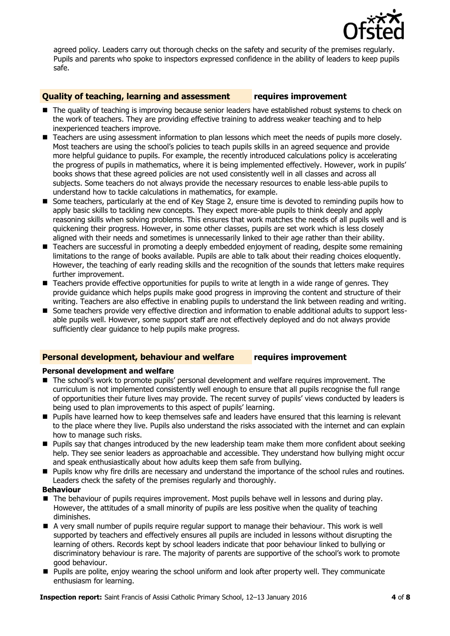

agreed policy. Leaders carry out thorough checks on the safety and security of the premises regularly. Pupils and parents who spoke to inspectors expressed confidence in the ability of leaders to keep pupils safe.

### **Quality of teaching, learning and assessment requires improvement**

- The quality of teaching is improving because senior leaders have established robust systems to check on the work of teachers. They are providing effective training to address weaker teaching and to help inexperienced teachers improve.
- **Teachers are using assessment information to plan lessons which meet the needs of pupils more closely.** Most teachers are using the school's policies to teach pupils skills in an agreed sequence and provide more helpful guidance to pupils. For example, the recently introduced calculations policy is accelerating the progress of pupils in mathematics, where it is being implemented effectively. However, work in pupils' books shows that these agreed policies are not used consistently well in all classes and across all subjects. Some teachers do not always provide the necessary resources to enable less-able pupils to understand how to tackle calculations in mathematics, for example.
- Some teachers, particularly at the end of Key Stage 2, ensure time is devoted to reminding pupils how to apply basic skills to tackling new concepts. They expect more-able pupils to think deeply and apply reasoning skills when solving problems. This ensures that work matches the needs of all pupils well and is quickening their progress. However, in some other classes, pupils are set work which is less closely aligned with their needs and sometimes is unnecessarily linked to their age rather than their ability.
- Teachers are successful in promoting a deeply embedded enjoyment of reading, despite some remaining limitations to the range of books available. Pupils are able to talk about their reading choices eloquently. However, the teaching of early reading skills and the recognition of the sounds that letters make requires further improvement.
- Teachers provide effective opportunities for pupils to write at length in a wide range of genres. They provide guidance which helps pupils make good progress in improving the content and structure of their writing. Teachers are also effective in enabling pupils to understand the link between reading and writing.
- Some teachers provide very effective direction and information to enable additional adults to support lessable pupils well. However, some support staff are not effectively deployed and do not always provide sufficiently clear guidance to help pupils make progress.

### **Personal development, behaviour and welfare requires improvement**

### **Personal development and welfare**

- The school's work to promote pupils' personal development and welfare requires improvement. The curriculum is not implemented consistently well enough to ensure that all pupils recognise the full range of opportunities their future lives may provide. The recent survey of pupils' views conducted by leaders is being used to plan improvements to this aspect of pupils' learning.
- **Pupils have learned how to keep themselves safe and leaders have ensured that this learning is relevant** to the place where they live. Pupils also understand the risks associated with the internet and can explain how to manage such risks.
- **Pupils say that changes introduced by the new leadership team make them more confident about seeking** help. They see senior leaders as approachable and accessible. They understand how bullying might occur and speak enthusiastically about how adults keep them safe from bullying.
- **Pupils know why fire drills are necessary and understand the importance of the school rules and routines.** Leaders check the safety of the premises regularly and thoroughly.

### **Behaviour**

- The behaviour of pupils requires improvement. Most pupils behave well in lessons and during play. However, the attitudes of a small minority of pupils are less positive when the quality of teaching diminishes.
- A very small number of pupils require regular support to manage their behaviour. This work is well supported by teachers and effectively ensures all pupils are included in lessons without disrupting the learning of others. Records kept by school leaders indicate that poor behaviour linked to bullying or discriminatory behaviour is rare. The majority of parents are supportive of the school's work to promote good behaviour.
- **Pupils are polite, enjoy wearing the school uniform and look after property well. They communicate** enthusiasm for learning.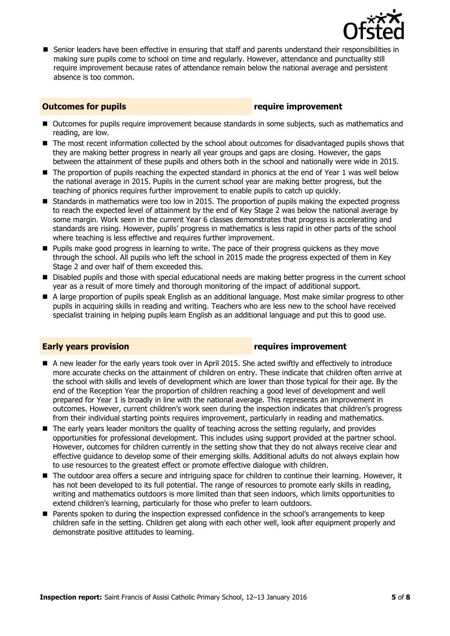

**Senior leaders have been effective in ensuring that staff and parents understand their responsibilities in** making sure pupils come to school on time and regularly. However, attendance and punctuality still require improvement because rates of attendance remain below the national average and persistent absence is too common.

### **Outcomes for pupils require improvement**

- Outcomes for pupils require improvement because standards in some subjects, such as mathematics and reading, are low.
- The most recent information collected by the school about outcomes for disadvantaged pupils shows that they are making better progress in nearly all year groups and gaps are closing. However, the gaps between the attainment of these pupils and others both in the school and nationally were wide in 2015.
- The proportion of pupils reaching the expected standard in phonics at the end of Year 1 was well below the national average in 2015. Pupils in the current school year are making better progress, but the teaching of phonics requires further improvement to enable pupils to catch up quickly.
- Standards in mathematics were too low in 2015. The proportion of pupils making the expected progress to reach the expected level of attainment by the end of Key Stage 2 was below the national average by some margin. Work seen in the current Year 6 classes demonstrates that progress is accelerating and standards are rising. However, pupils' progress in mathematics is less rapid in other parts of the school where teaching is less effective and requires further improvement.
- **Pupils make good progress in learning to write. The pace of their progress quickens as they move** through the school. All pupils who left the school in 2015 made the progress expected of them in Key Stage 2 and over half of them exceeded this.
- **Disabled pupils and those with special educational needs are making better progress in the current school** year as a result of more timely and thorough monitoring of the impact of additional support.
- A large proportion of pupils speak English as an additional language. Most make similar progress to other pupils in acquiring skills in reading and writing. Teachers who are less new to the school have received specialist training in helping pupils learn English as an additional language and put this to good use.

### **Early years provision requires improvement**

- A new leader for the early years took over in April 2015. She acted swiftly and effectively to introduce more accurate checks on the attainment of children on entry. These indicate that children often arrive at the school with skills and levels of development which are lower than those typical for their age. By the end of the Reception Year the proportion of children reaching a good level of development and well prepared for Year 1 is broadly in line with the national average. This represents an improvement in outcomes. However, current children's work seen during the inspection indicates that children's progress from their individual starting points requires improvement, particularly in reading and mathematics.
- The early years leader monitors the quality of teaching across the setting regularly, and provides opportunities for professional development. This includes using support provided at the partner school. However, outcomes for children currently in the setting show that they do not always receive clear and effective guidance to develop some of their emerging skills. Additional adults do not always explain how to use resources to the greatest effect or promote effective dialogue with children.
- The outdoor area offers a secure and intriguing space for children to continue their learning. However, it has not been developed to its full potential. The range of resources to promote early skills in reading, writing and mathematics outdoors is more limited than that seen indoors, which limits opportunities to extend children's learning, particularly for those who prefer to learn outdoors.
- **Parents spoken to during the inspection expressed confidence in the school's arrangements to keep** children safe in the setting. Children get along with each other well, look after equipment properly and demonstrate positive attitudes to learning.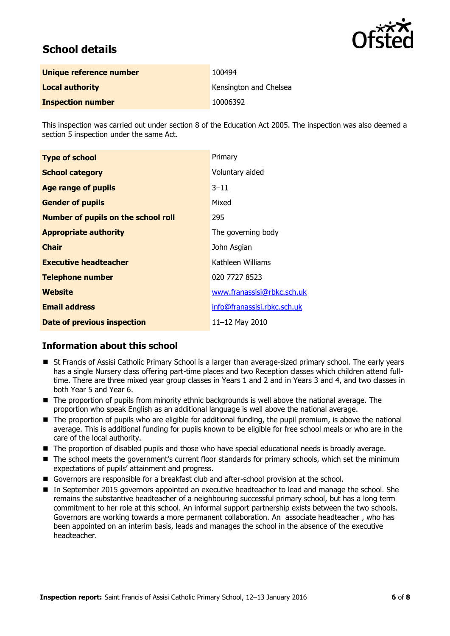

# **School details**

| Unique reference number  | 100494                 |
|--------------------------|------------------------|
| <b>Local authority</b>   | Kensington and Chelsea |
| <b>Inspection number</b> | 10006392               |

This inspection was carried out under section 8 of the Education Act 2005. The inspection was also deemed a section 5 inspection under the same Act.

| <b>Type of school</b>                      | Primary                     |
|--------------------------------------------|-----------------------------|
| <b>School category</b>                     | Voluntary aided             |
| <b>Age range of pupils</b>                 | $3 - 11$                    |
| <b>Gender of pupils</b>                    | Mixed                       |
| <b>Number of pupils on the school roll</b> | 295                         |
| <b>Appropriate authority</b>               | The governing body          |
| <b>Chair</b>                               | John Asgian                 |
| <b>Executive headteacher</b>               | Kathleen Williams           |
| <b>Telephone number</b>                    | 020 7727 8523               |
| Website                                    | www.franassisi@rbkc.sch.uk  |
| <b>Email address</b>                       | info@franassisi.rbkc.sch.uk |
| Date of previous inspection                | 11-12 May 2010              |

### **Information about this school**

- St Francis of Assisi Catholic Primary School is a larger than average-sized primary school. The early years has a single Nursery class offering part-time places and two Reception classes which children attend fulltime. There are three mixed year group classes in Years 1 and 2 and in Years 3 and 4, and two classes in both Year 5 and Year 6.
- The proportion of pupils from minority ethnic backgrounds is well above the national average. The proportion who speak English as an additional language is well above the national average.
- The proportion of pupils who are eligible for additional funding, the pupil premium, is above the national average. This is additional funding for pupils known to be eligible for free school meals or who are in the care of the local authority.
- The proportion of disabled pupils and those who have special educational needs is broadly average.
- The school meets the government's current floor standards for primary schools, which set the minimum expectations of pupils' attainment and progress.
- Governors are responsible for a breakfast club and after-school provision at the school.
- In September 2015 governors appointed an executive headteacher to lead and manage the school. She remains the substantive headteacher of a neighbouring successful primary school, but has a long term commitment to her role at this school. An informal support partnership exists between the two schools. Governors are working towards a more permanent collaboration. An associate headteacher , who has been appointed on an interim basis, leads and manages the school in the absence of the executive headteacher.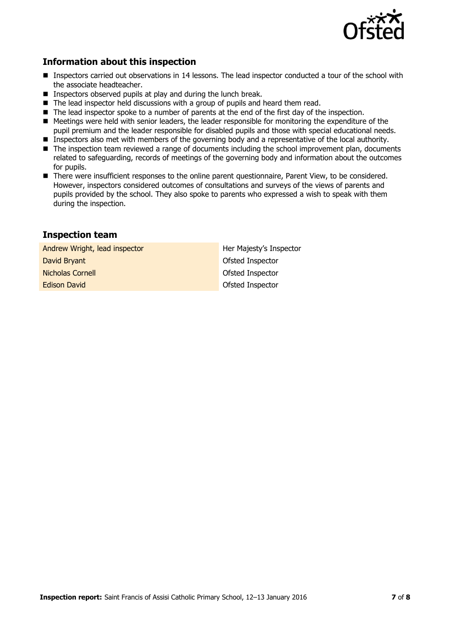

### **Information about this inspection**

- **Inspectors carried out observations in 14 lessons. The lead inspector conducted a tour of the school with** the associate headteacher.
- **Inspectors observed pupils at play and during the lunch break.**
- The lead inspector held discussions with a group of pupils and heard them read.
- The lead inspector spoke to a number of parents at the end of the first day of the inspection.
- Meetings were held with senior leaders, the leader responsible for monitoring the expenditure of the pupil premium and the leader responsible for disabled pupils and those with special educational needs.
- **Inspectors also met with members of the governing body and a representative of the local authority.**
- The inspection team reviewed a range of documents including the school improvement plan, documents related to safeguarding, records of meetings of the governing body and information about the outcomes for pupils.
- There were insufficient responses to the online parent questionnaire, Parent View, to be considered. However, inspectors considered outcomes of consultations and surveys of the views of parents and pupils provided by the school. They also spoke to parents who expressed a wish to speak with them during the inspection.

### **Inspection team**

Andrew Wright, lead inspector **Her Majesty's Inspector David Bryant Community Community Community Community Community Community Community Community Community Community Nicholas Cornell Nicholas Cornell Nicholas Cornell Ofsted Inspector** Edison David **Contact Contact Contact Contact Contact Contact Contact Contact Contact Contact Contact Contact Contact Contact Contact Contact Contact Contact Contact Contact Contact Contact Contact Contact Contact Contact**